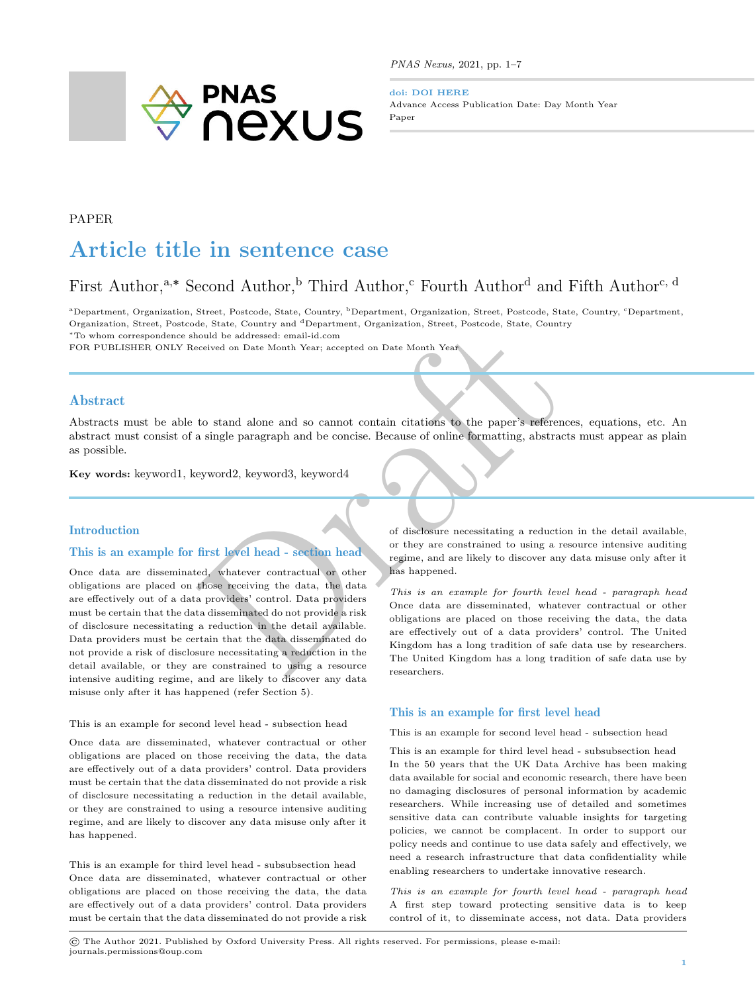

PNAS Nexus, 2021, pp. 1–7

doi: DOI HERE Advance Access Publication Date: Day Month Year Paper

## PAPER

# Article title in sentence case

## First Author,<sup>a,∗</sup> Second Author,<sup>b</sup> Third Author,<sup>c</sup> Fourth Author<sup>d</sup> and Fifth Author<sup>c, d</sup>

<sup>a</sup>Department, Organization, Street, Postcode, State, Country, <sup>b</sup>Department, Organization, Street, Postcode, State, Country, <sup>c</sup>Department, Organization, Street, Postcode, State, Country and <sup>d</sup>Department, Organization, Street, Postcode, State, Country

<sup>∗</sup>To whom correspondence should be addressed: email-id.com

FOR PUBLISHER ONLY Received on Date Month Year; accepted on Date Month Year

## Abstract

Abstracts must be able to stand alone and so cannot contain citations to the paper's references, equations, etc. An abstract must consist of a single paragraph and be concise. Because of online formatting, abstracts must appear as plain as possible.

Key words: keyword1, keyword2, keyword3, keyword4

## Introduction

## This is an example for first level head - section head

explane to stand alone and bepartment, organization, street, rostcode, state, country<br>
is not alone and so cannot contain citations to the paper's references,<br>
a single paragraph and be concise. Because of online formattin Once data are disseminated, whatever contractual or other obligations are placed on those receiving the data, the data are effectively out of a data providers' control. Data providers must be certain that the data disseminated do not provide a risk of disclosure necessitating a reduction in the detail available. Data providers must be certain that the data disseminated do not provide a risk of disclosure necessitating a reduction in the detail available, or they are constrained to using a resource intensive auditing regime, and are likely to discover any data misuse only after it has happened (refer Section [5\)](#page-1-0).

#### This is an example for second level head - subsection head

Once data are disseminated, whatever contractual or other obligations are placed on those receiving the data, the data are effectively out of a data providers' control. Data providers must be certain that the data disseminated do not provide a risk of disclosure necessitating a reduction in the detail available, or they are constrained to using a resource intensive auditing regime, and are likely to discover any data misuse only after it has happened.

This is an example for third level head - subsubsection head Once data are disseminated, whatever contractual or other obligations are placed on those receiving the data, the data are effectively out of a data providers' control. Data providers must be certain that the data disseminated do not provide a risk

of disclosure necessitating a reduction in the detail available, or they are constrained to using a resource intensive auditing regime, and are likely to discover any data misuse only after it has happened.

This is an example for fourth level head - paragraph head Once data are disseminated, whatever contractual or other obligations are placed on those receiving the data, the data are effectively out of a data providers' control. The United Kingdom has a long tradition of safe data use by researchers. The United Kingdom has a long tradition of safe data use by researchers.

## This is an example for first level head

This is an example for second level head - subsection head

This is an example for third level head - subsubsection head In the 50 years that the UK Data Archive has been making data available for social and economic research, there have been no damaging disclosures of personal information by academic researchers. While increasing use of detailed and sometimes sensitive data can contribute valuable insights for targeting policies, we cannot be complacent. In order to support our policy needs and continue to use data safely and effectively, we need a research infrastructure that data confidentiality while enabling researchers to undertake innovative research.

This is an example for fourth level head - paragraph head A first step toward protecting sensitive data is to keep control of it, to disseminate access, not data. Data providers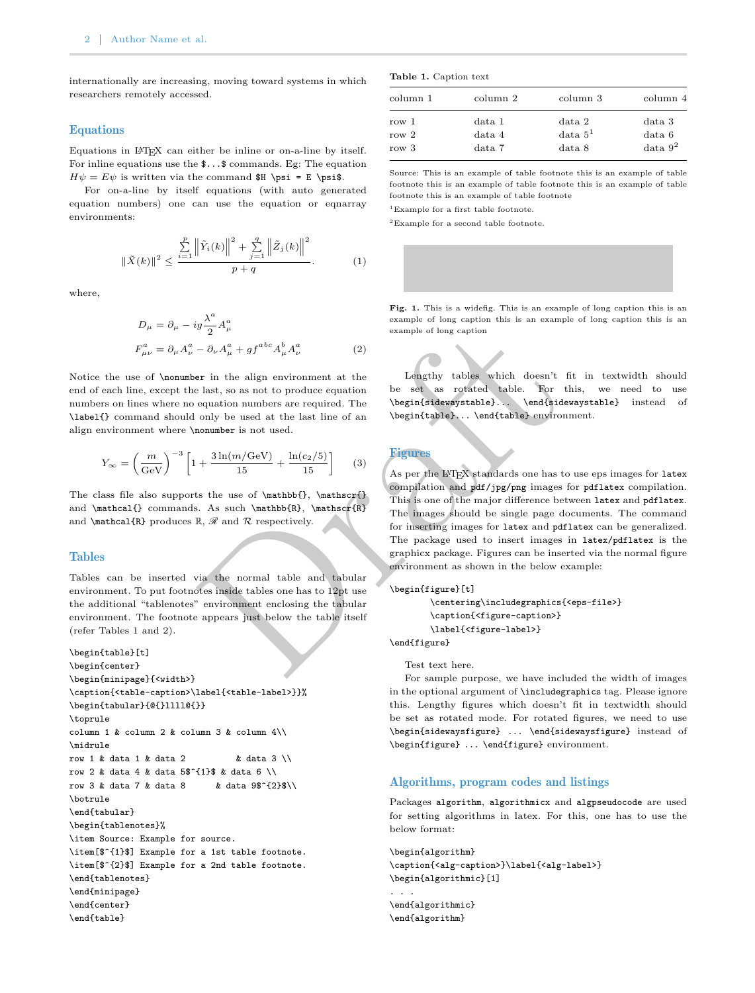internationally are increasing, moving toward systems in which researchers remotely accessed.

#### Equations

Equations in LATEX can either be inline or on-a-line by itself. For inline equations use the \$...\$ commands. Eg: The equation  $H\psi = E\psi$  is written via the command \$H \psi = E \psi\$.

For on-a-line by itself equations (with auto generated equation numbers) one can use the equation or eqnarray environments:

$$
\|\tilde{X}(k)\|^2 \le \frac{\sum_{i=1}^p \left\|\tilde{Y}_i(k)\right\|^2 + \sum_{j=1}^q \left\|\tilde{Z}_j(k)\right\|^2}{p+q}.
$$
 (1)

where,

$$
D_{\mu} = \partial_{\mu} - ig \frac{\lambda^a}{2} A_{\mu}^a
$$
  
\n
$$
F_{\mu\nu}^a = \partial_{\mu} A_{\nu}^a - \partial_{\nu} A_{\mu}^a + gf^{abc} A_{\mu}^b A_{\nu}^a
$$
 (2)

Notice the use of \nonumber in the align environment at the end of each line, except the last, so as not to produce equation numbers on lines where no equation numbers are required. The \label{} command should only be used at the last line of an align environment where \nonumber is not used.

$$
Y_{\infty} = \left(\frac{m}{\text{GeV}}\right)^{-3} \left[1 + \frac{3\ln(m/\text{GeV})}{15} + \frac{\ln(c_2/5)}{15}\right] \tag{3}
$$

The class file also supports the use of \mathbb{}, \mathscr{} and \mathcal{} commands. As such \mathbb{R}, \mathscr{R} and  $\mathcal{R}$  produces  $\mathbb{R}, \mathcal{R}$  and  $\mathcal{R}$  respectively.

#### <span id="page-1-0"></span>Tables

Tables can be inserted via the normal table and tabular environment. To put footnotes inside tables one has to 12pt use the additional "tablenotes" environment enclosing the tabular environment. The footnote appears just below the table itself (refer Tables [1](#page-1-1) and [2\)](#page-2-0).

\begin{table}[t] \begin{center} \begin{minipage}{<width>} \caption{<table-caption>\label{<table-label>}}% \begin{tabular}{@{}llll@{}} \toprule column 1 & column 2 & column 3 & column  $4\$ \midrule row 1 & data 1 & data 2  $\&$  data 3 \\ row 2 & data 4 & data 5\$^{1}\$ & data 6 \\ row 3 & data 7 & data 8 & data  $9$ \$^{2}\$\\ \botrule \end{tabular} \begin{tablenotes}% \item Source: Example for source. \item[\$^{1}\$] Example for a 1st table footnote. \item[\$^{2}\$] Example for a 2nd table footnote. \end{tablenotes} \end{minipage} \end{center} \end{table}

<span id="page-1-1"></span>

| Table 1. Caption text |  |  |
|-----------------------|--|--|
|-----------------------|--|--|

| column 1 | column 2 | column 3    | column 4    |
|----------|----------|-------------|-------------|
| row 1    | data 1   | data 2      | data 3      |
| $row\ 2$ | data 4   | $data\ 5^1$ | data 6      |
| row 3    | data 7   | data 8      | $data\ 9^2$ |
|          |          |             |             |

Source: This is an example of table footnote this is an example of table footnote this is an example of table footnote this is an example of table footnote this is an example of table footnote

<sup>1</sup>Example for a first table footnote.

<span id="page-1-2"></span> ${}^{2}$ Example for a second table footnote.

Fig. 1. This is a widefig. This is an example of long caption this is an example of long caption this is an example of long caption this is an example of long caption

Lengthy tables which doesn't fit in textwidth should be set as rotated table. For this, we need to use \begin{sidewaystable}... \end{sidewaystable} instead of \begin{table}... \end{table} environment.

## Figures

 $\label{eq:2.1} \begin{tabular}{|c|c|c|c|c|} \hline \mathcal{G}&\mathcal{A}^n_\mu + gf^{abc}A^b_\mu A^a_\nu & & & & & & \\ \hline \mathcal{G}&\mathcal{A}^n_\mu + gf^{abc}A^b_\mu A^a_\nu & & & & & \\ \hline \mathcal{G}&\mathcal{G}&\mathcal{G}&\mathcal{G}&\mathcal{G}&\mathcal{G}&\mathcal{G}&\mathcal{G}&\mathcal{G}&\mathcal{G}&\mathcal{G}&\mathcal{G}&\mathcal{G}&\mathcal{G}&\mathcal{G}&\mathcal{G}&\mathcal{G}&\mathcal{G}&\$ As per the LAT<sub>EX</sub> standards one has to use eps images for latex compilation and pdf/jpg/png images for pdflatex compilation. This is one of the major difference between latex and pdflatex . The images should be single page documents. The command for inserting images for latex and pdflatex can be generalized. The package used to insert images in latex/pdflatex is the graphicx package. Figures can be inserted via the normal figure environment as shown in the below example:

#### \begin{figure}[t]

```
\centering\includegraphics{<eps-file>}
\caption{<figure-caption>}
\label{<figure-label>}
```
\end{figure}

Test text here.

For sample purpose, we have included the width of images in the optional argument of \includegraphics tag. Please ignore this. Lengthy figures which doesn't fit in textwidth should be set as rotated mode. For rotated figures, we need to use \begin{sidewaysfigure} ... \end{sidewaysfigure} instead of \begin{figure} ... \end{figure} environment.

#### Algorithms, program codes and listings

Packages algorithm , algorithmicx and algpseudocode are used for setting algorithms in latex. For this, one has to use the below format:

\begin{algorithm} \caption{<alg-caption>}\label{<alg-label>} \begin{algorithmic}[1] . . . \end{algorithmic}

\end{algorithm}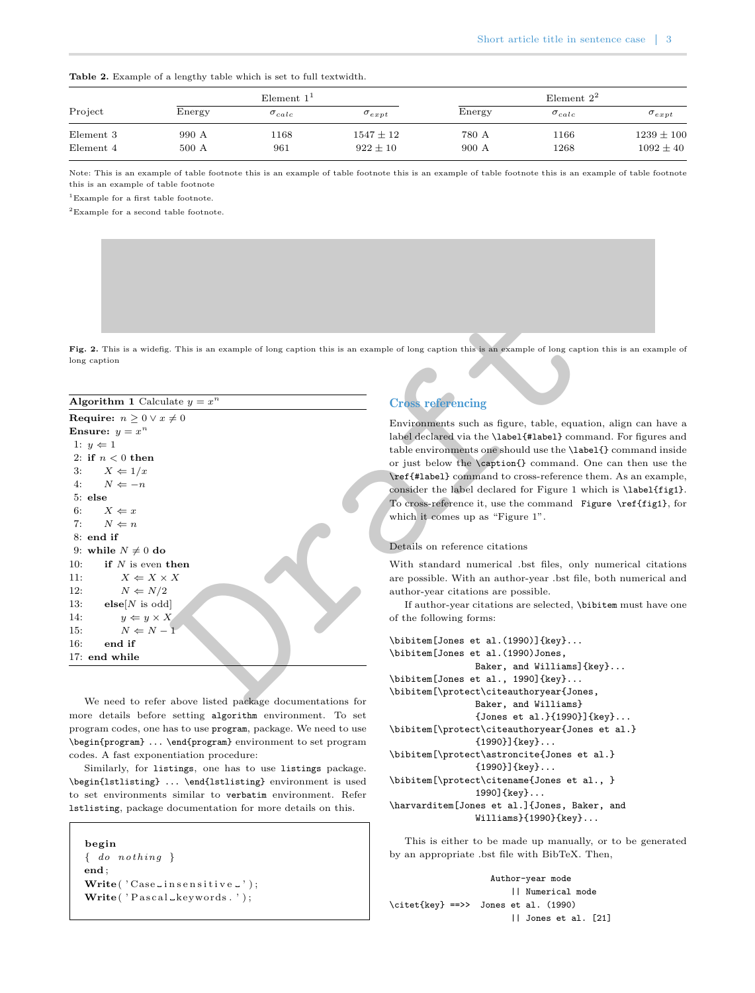<span id="page-2-0"></span>

|  |  |  |  |  |  |  |  |  |  |  | <b>Table 2.</b> Example of a lengthy table which is set to full textwidth. |
|--|--|--|--|--|--|--|--|--|--|--|----------------------------------------------------------------------------|
|--|--|--|--|--|--|--|--|--|--|--|----------------------------------------------------------------------------|

|           |        | Element $11$    |                 |        | Element $2^2$   |                 |
|-----------|--------|-----------------|-----------------|--------|-----------------|-----------------|
| Project   | Energy | $\sigma_{calc}$ | $\sigma_{expt}$ | Energy | $\sigma_{calc}$ | $\sigma_{expt}$ |
| Element 3 | 990 A  | 168             | $1547 \pm 12$   | 780 A  | 1166            | $1239 \pm 100$  |
| Element 4 | 500 A  | 961             | $922 \pm 10$    | 900 A  | 1268            | $1092 \pm 40$   |

Note: This is an example of table footnote this is an example of table footnote this is an example of table footnote this is an example of table footnote this is an example of table footnote

<sup>1</sup>Example for a first table footnote.

 ${}^{2}$ Example for a second table footnote.

Fig. 2. This is a widefig. This is an example of long caption this is an example of long caption this is an example of long caption this is an example of long caption

| Fig. 2. This is a widefig. This is an example of long caption this is an example of long caption this is an example of long caption this |                                                                                                   |
|------------------------------------------------------------------------------------------------------------------------------------------|---------------------------------------------------------------------------------------------------|
| long caption                                                                                                                             |                                                                                                   |
| <b>Algorithm 1</b> Calculate $y = x^n$                                                                                                   | <b>Cross referencing</b>                                                                          |
| <b>Require:</b> $n \geq 0 \vee x \neq 0$                                                                                                 | Environments such as figure, table, equation, all                                                 |
| Ensure: $y = x^n$                                                                                                                        | label declared via the \label{#label} command.                                                    |
| 1: $y \Leftarrow 1$                                                                                                                      | table environments one should use the <b>\label{}</b> co                                          |
| 2: if $n < 0$ then                                                                                                                       | or just below the <b>\caption{}</b> command. One ca                                               |
| 3:<br>$X \Leftarrow 1/x$                                                                                                                 | \ref{#label} command to cross-reference them.                                                     |
| 4:<br>$N \Leftarrow -n$                                                                                                                  | consider the label declared for Figure 1 which is                                                 |
| $5:$ else                                                                                                                                | To cross-reference it, use the command Figure                                                     |
| $X \Leftarrow x$<br>6:                                                                                                                   | which it comes up as "Figure 1".                                                                  |
| 7:<br>$N \Leftarrow n$                                                                                                                   |                                                                                                   |
| $8:$ end if                                                                                                                              | Details on reference citations                                                                    |
| 9: while $N \neq 0$ do<br>10:<br>if $N$ is even then                                                                                     |                                                                                                   |
| $X \Leftarrow X \times X$<br>11:                                                                                                         | With standard numerical bst files, only nume<br>are possible. With an author-year .bst file, both |
| 12:<br>$N \Leftarrow N/2$                                                                                                                | author-year citations are possible.                                                               |
| 13:<br>$\mathbf{else}[N$]$ is odd                                                                                                        | If author-year citations are selected, \bibitem                                                   |
| 14:<br>$y \Leftarrow y \times X$                                                                                                         | of the following forms:                                                                           |
| $N \Leftarrow N - 1$<br>15:                                                                                                              |                                                                                                   |
| 16:<br>end if                                                                                                                            | $\big\{\begin{bmatrix} Jones & et & al. (1990)\end{bmatrix}\begin{bmatrix} kev\end{bmatrix}.$     |
| 17: end while                                                                                                                            | \bibitem[Jones et al. (1990)Jones,                                                                |
|                                                                                                                                          | Baker, and Williams]{key}.                                                                        |
|                                                                                                                                          | \bibitem[Jones et al., 1990]{key}<br>\bibitem[\protect\citeauthoryear{Jones,                      |
| We need to refer above listed package documentations for                                                                                 | Raker and Williamel                                                                               |

We need to refer above listed package documentations for more details before setting algorithm environment. To set program codes, one has to use program, package. We need to use \begin{program} ... \end{program} environment to set program codes. A fast exponentiation procedure:

Similarly, for listings, one has to use listings package. \begin{lstlisting} ... \end{lstlisting} environment is used to set environments similar to verbatim environment. Refer lstlisting, package documentation for more details on this.

```
begin \{ do\ nothing\}end
;
Write('Case_{-}in sensitive_{-}');Write('Pascal\_keywords.' ;
```
## Cross referencing

Environments such as figure, table, equation, align can have a label declared via the \label{#label} command. For figures and table environments one should use the \label{} command inside or just below the \caption{} command. One can then use the \ref{#label} command to cross-reference them. As an example, consider the label declared for Figure 1 which is \label{fig1} . To cross-reference it, use the command Figure \ref{fig1}, for which it comes up as "Figure 1".

#### Details on reference citations

With standard numerical .bst files, only numerical citations are possible. With an author-year .bst file, both numerical and author-year citations are possible.

If author-year citations are selected, \bibitem must have one of the following forms:

```
\bibitem[Jones et al.(1990)]{key}...
\bibitem[Jones et al.(1990)Jones,
                Baker, and Williams]{key}...
\bibitem[Jones et al., 1990]{key}...
\bibitem[\protect\citeauthoryear{Jones,
                Baker, and Williams}
                {Jones et al.}{1990}]{key}...
\bibitem[\protect\citeauthoryear{Jones et al.}
                {1990}]{key}...
\bibitem[\protect\astroncite{Jones et al.}
                {1990}]{key}...
\bibitem[\protect\citename{Jones et al., }
                1990]{key}...
\harvarditem[Jones et al.]{Jones, Baker, and
                Williams}{1990}{key}...
```
This is either to be made up manually, or to be generated by an appropriate .bst file with BibTeX. Then,

```
Author-year mode
                        || Numerical mode
\citet{key} ==>> Jones et al. (1990)
                        || Jones et al. [21]
```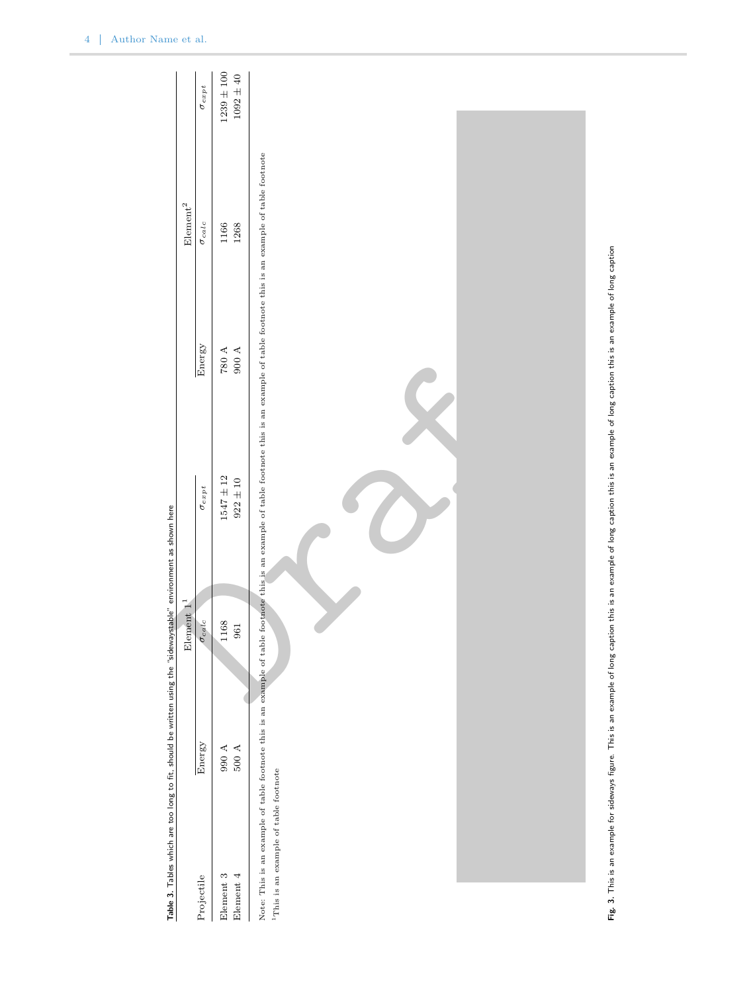<span id="page-3-1"></span><span id="page-3-0"></span>

|                                           | Table 3. Tables which are too long to fit, should be written using the "sidewaystable" environment as shown here |                        |                                                                                                                                                                                             |           |                                                                                                                         |                 |
|-------------------------------------------|------------------------------------------------------------------------------------------------------------------|------------------------|---------------------------------------------------------------------------------------------------------------------------------------------------------------------------------------------|-----------|-------------------------------------------------------------------------------------------------------------------------|-----------------|
|                                           |                                                                                                                  | Element 1 <sup>1</sup> |                                                                                                                                                                                             |           | ${\rm Element}^2$                                                                                                       |                 |
| Projectile                                | Energy                                                                                                           | $\sigma_{calc}$        | $\sigma_{ex\,pt}$                                                                                                                                                                           | Energy    | $\sigma_{calc}$                                                                                                         | $\sigma_{expt}$ |
| Element 3                                 | $\,$ 066                                                                                                         | 168<br>$\overline{ }$  | $1547 \pm 12$                                                                                                                                                                               | $780$ A   | 1166                                                                                                                    | $1239 \pm 100$  |
| Element $4\,$                             | $500$ A                                                                                                          | 961                    | $922\pm10$                                                                                                                                                                                  | $900\,$ A | 1268                                                                                                                    | $1092\pm40$     |
| $^1$ This is an example of table footnote | Note: This is an example of table footnote this is an example of table                                           |                        |                                                                                                                                                                                             |           | footnote this is an example of table footnote this is an example of table footnote this is an example of table footnote |                 |
|                                           |                                                                                                                  |                        |                                                                                                                                                                                             |           |                                                                                                                         |                 |
|                                           |                                                                                                                  |                        |                                                                                                                                                                                             |           |                                                                                                                         |                 |
|                                           |                                                                                                                  |                        | Fig. 3. This is an example for sideways figure. This is an example of long caption this is an example of long caption this is an example of long caption this is an example of long caption |           |                                                                                                                         |                 |

۳Ë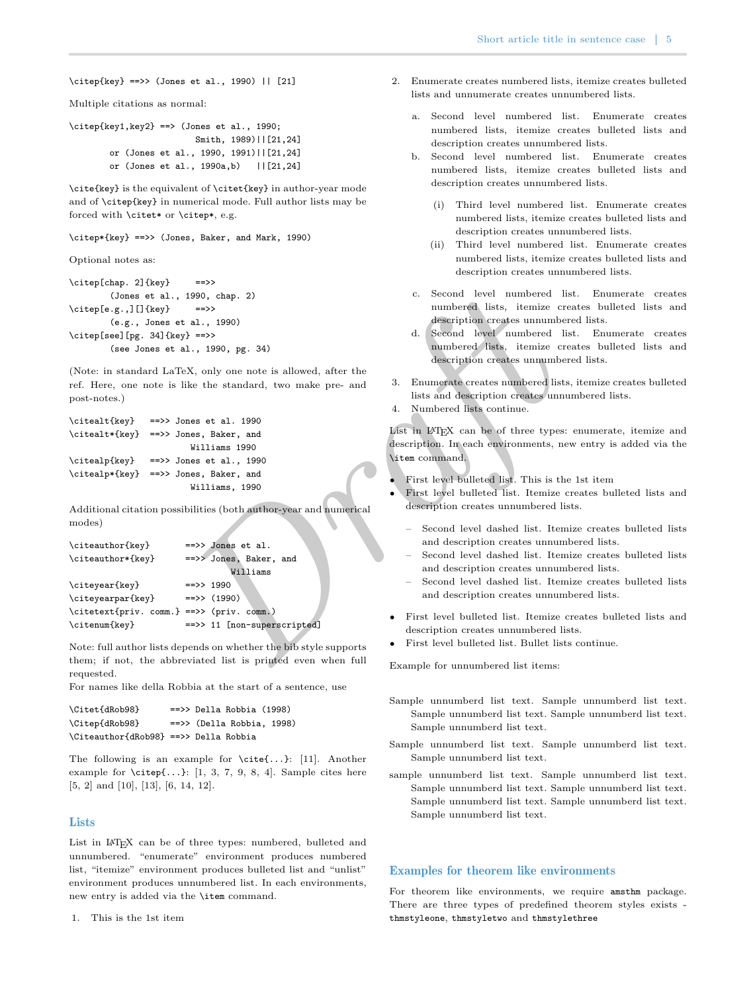\citep{key} ==>> (Jones et al., 1990) || [21]

Multiple citations as normal:

```
\cite{key1},key2 ==> (Jones et al., 1990;
                        Smith, 1989)||[21,24]
       or (Jones et al., 1990, 1991)||[21,24]
       or (Jones et al., 1990a,b) ||[21,24]
```
\cite{key} is the equivalent of \citet{key} in author-year mode and of \citep{key} in numerical mode. Full author lists may be forced with \citet\* or \citep\*, e.g.

\citep\*{key} ==>> (Jones, Baker, and Mark, 1990)

Optional notes as:

\citep[chap. 2]{key} ==>> (Jones et al., 1990, chap. 2) \citep[e.g.,][]{key} ==>> (e.g., Jones et al., 1990) \citep[see][pg. 34]{key} ==>> (see Jones et al., 1990, pg. 34)

```
\citealt{key} ==>> Jones et al. 1990
\citealt*{key} ==>> Jones, Baker, and
                       Williams 1990
\citealp{key} ==>> Jones et al., 1990
\citealp*{key} ==>> Jones, Baker, and
                       Williams, 1990
```

| (Jones et al., 1990, chap. 2)                                     | Second level numbered list                                    |
|-------------------------------------------------------------------|---------------------------------------------------------------|
| \citep[e.g.,][]{key}<br>$\Rightarrow$                             | numbered lists, itemize crea                                  |
| (e.g., Jones et al., 1990)                                        | description creates unnumbere                                 |
| \citep[see][pg. 34]{key} ==>>                                     | d. Second level numbered list                                 |
| (see Jones et al., 1990, pg. 34)                                  | numbered lists, itemize crea<br>description creates unnumbere |
| (Note: in standard LaTeX, only one note is allowed, after the     |                                                               |
| ref. Here, one note is like the standard, two make pre- and       | Enumerate creates numbered lists,<br>3.                       |
| post-notes.)                                                      | lists and description creates unnum                           |
|                                                                   | Numbered lists continue.<br>4.                                |
| $\Rightarrow$ Jones et al. 1990<br>\citealt{key}                  |                                                               |
| \citealt*{key}<br>==>> Jones, Baker, and                          | List in LAT <sub>F</sub> X can be of three types: e           |
| Williams 1990                                                     | description. In each environments, new                        |
| \citealp{key}<br>$\Rightarrow$ Jones et al., 1990                 | \item command.                                                |
| \citealp*{key}<br>==>> Jones, Baker, and                          | First level bulleted list. This is the                        |
| Williams, 1990                                                    | First level bulleted list. Itemize cre                        |
| Additional citation possibilities (both author-year and numerical | description creates unnumbered lists                          |
| modes)                                                            |                                                               |
|                                                                   | Second level dashed list. Itemiz                              |
| \citeauthor{key}<br>$\Rightarrow$ Jones et al.                    | and description creates unnumbe                               |
| \citeauthor*{key}<br>==>> Jones, Baker, and                       | Second level dashed list. Itemiz                              |
| Williams                                                          | and description creates unnumbe                               |
| \citeyear{key}<br>$\Rightarrow$ 1990                              | Second level dashed list. Itemiz                              |
| \citeyearpar{key}<br>$\Rightarrow$ (1990)                         | and description creates unnumbe                               |
| \citetext{priv. comm.} ==>> (priv. comm.)                         | First level bulleted list. Itemize cre                        |
| ==>> 11 [non-superscripted]<br>\citenum{key}                      | description creates unnumbered lists                          |
|                                                                   | First level bulleted list. Bullet lists                       |
| Note: full author lists depends on whether the bib style supports |                                                               |
| them; if not, the abbreviated list is printed even when full      | Example for unnumbered list items:                            |

Note: full author lists depends on whether the bib style supports them; if not, the abbreviated list is printed even when full requested.

For names like della Robbia at the start of a sentence, use

```
\Citet{dRob98} ==>> Della Robbia (1998)
\Citep{dRob98} ==>> (Della Robbia, 1998)
\Citeauthor{dRob98} ==>> Della Robbia
```
The following is an example for \cite{...}: [\[11\]](#page-6-0). Another example for  $\cite{...}: [1, 3, 7, 9, 8, 4]$  $\cite{...}: [1, 3, 7, 9, 8, 4]$  $\cite{...}: [1, 3, 7, 9, 8, 4]$  $\cite{...}: [1, 3, 7, 9, 8, 4]$  $\cite{...}: [1, 3, 7, 9, 8, 4]$  $\cite{...}: [1, 3, 7, 9, 8, 4]$  $\cite{...}: [1, 3, 7, 9, 8, 4]$ . Sample cites here [\[5,](#page-6-7) [2\]](#page-6-8) and [\[10\]](#page-6-9), [\[13\]](#page-6-10), [\[6,](#page-6-11) [14,](#page-6-12) [12\]](#page-6-13).

## **Lists**

List in LAT<sub>E</sub>X can be of three types: numbered, bulleted and unnumbered. "enumerate" environment produces numbered list, "itemize" environment produces bulleted list and "unlist" environment produces unnumbered list. In each environments, new entry is added via the \item command.

1. This is the 1st item

- 2. Enumerate creates numbered lists, itemize creates bulleted lists and unnumerate creates unnumbered lists.
	- a. Second level numbered list. Enumerate creates numbered lists, itemize creates bulleted lists and description creates unnumbered lists.
	- b. Second level numbered list. Enumerate creates numbered lists, itemize creates bulleted lists and description creates unnumbered lists.
		- (i) Third level numbered list. Enumerate creates numbered lists, itemize creates bulleted lists and description creates unnumbered lists.
		- (ii) Third level numbered list. Enumerate creates numbered lists, itemize creates bulleted lists and description creates unnumbered lists.
	- c. Second level numbered list. Enumerate creates numbered lists, itemize creates bulleted lists and description creates unnumbered lists.
	- d. Second level numbered list. Enumerate creates numbered lists, itemize creates bulleted lists and description creates unnumbered lists.
- 3. Enumerate creates numbered lists, itemize creates bulleted lists and description creates unnumbered lists.
- 4. Numbered lists continue.

List in LATEX can be of three types: enumerate, itemize and description. In each environments, new entry is added via the \item command.

- First level bulleted list. This is the 1st item
- First level bulleted list. Itemize creates bulleted lists and description creates unnumbered lists.
	- Second level dashed list. Itemize creates bulleted lists and description creates unnumbered lists.
	- Second level dashed list. Itemize creates bulleted lists and description creates unnumbered lists.
	- Second level dashed list. Itemize creates bulleted lists and description creates unnumbered lists.
- First level bulleted list. Itemize creates bulleted lists and description creates unnumbered lists.
- First level bulleted list. Bullet lists continue.

Example for unnumbered list items:

- Sample unnumberd list text. Sample unnumberd list text. Sample unnumberd list text. Sample unnumberd list text. Sample unnumberd list text.
- Sample unnumberd list text. Sample unnumberd list text. Sample unnumberd list text.
- sample unnumberd list text. Sample unnumberd list text. Sample unnumberd list text. Sample unnumberd list text. Sample unnumberd list text. Sample unnumberd list text. Sample unnumberd list text.

## Examples for theorem like environments

For theorem like environments, we require amsthm package. There are three types of predefined theorem styles exists thmstyleone , thmstyletwo and thmstylethree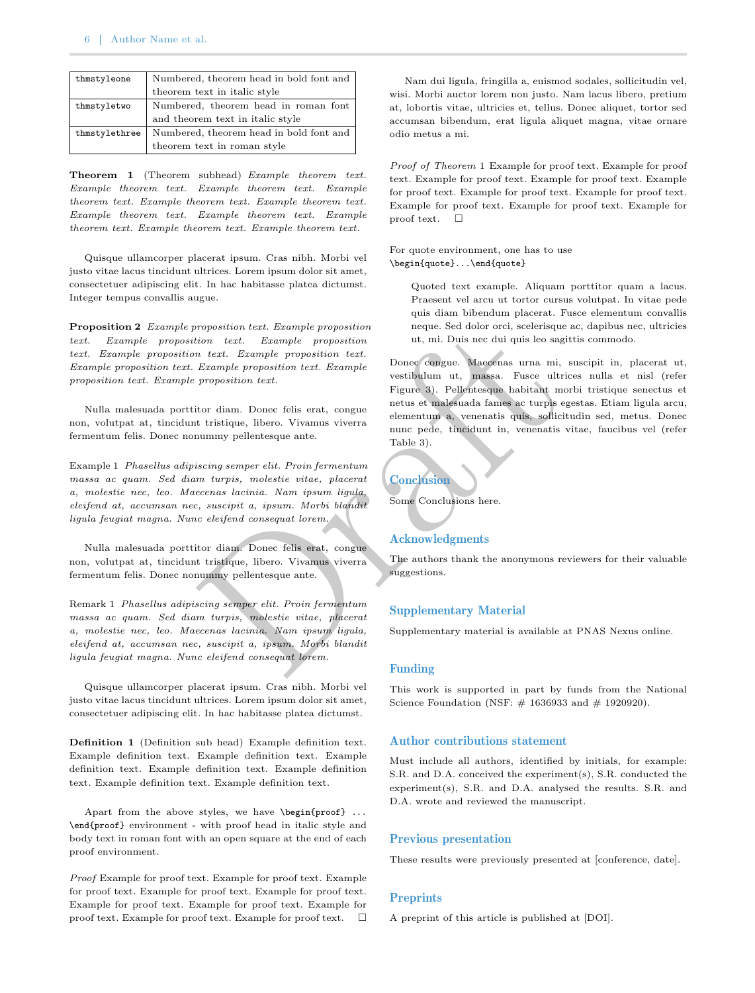| thmstyleone   | Numbered, theorem head in bold font and |
|---------------|-----------------------------------------|
|               | theorem text in italic style            |
| thmstyletwo   | Numbered, theorem head in roman font    |
|               | and theorem text in italic style        |
| thmstylethree | Numbered, theorem head in bold font and |
|               | theorem text in roman style             |

<span id="page-5-0"></span>Theorem 1 (Theorem subhead) Example theorem text. Example theorem text. Example theorem text. Example theorem text. Example theorem text. Example theorem text. Example theorem text. Example theorem text. Example theorem text. Example theorem text. Example theorem text.

Quisque ullamcorper placerat ipsum. Cras nibh. Morbi vel justo vitae lacus tincidunt ultrices. Lorem ipsum dolor sit amet, consectetuer adipiscing elit. In hac habitasse platea dictumst. Integer tempus convallis augue.

Proposition 2 Example proposition text. Example proposition text. Example proposition text. Example proposition text. Example proposition text. Example proposition text. Example proposition text. Example proposition text. Example proposition text. Example proposition text.

Nulla malesuada porttitor diam. Donec felis erat, congue non, volutpat at, tincidunt tristique, libero. Vivamus viverra fermentum felis. Donec nonummy pellentesque ante.

Example 1 Phasellus adipiscing semper elit. Proin fermentum massa ac quam. Sed diam turpis, molestie vitae, placerat a, molestie nec, leo. Maecenas lacinia. Nam ipsum ligula, eleifend at, accumsan nec, suscipit a, ipsum. Morbi blandit ligula feugiat magna. Nunc eleifend consequat lorem.

Nulla malesuada porttitor diam. Donec felis erat, congue non, volutpat at, tincidunt tristique, libero. Vivamus viverra fermentum felis. Donec nonummy pellentesque ante.

Remark 1 Phasellus adipiscing semper elit. Proin fermentum massa ac quam. Sed diam turpis, molestie vitae, placerat a, molestie nec, leo. Maecenas lacinia. Nam ipsum ligula, eleifend at, accumsan nec, suscipit a, ipsum. Morbi blandit ligula feugiat magna. Nunc eleifend consequat lorem.

Quisque ullamcorper placerat ipsum. Cras nibh. Morbi vel justo vitae lacus tincidunt ultrices. Lorem ipsum dolor sit amet, consectetuer adipiscing elit. In hac habitasse platea dictumst.

Definition 1 (Definition sub head) Example definition text. Example definition text. Example definition text. Example definition text. Example definition text. Example definition text. Example definition text. Example definition text.

Apart from the above styles, we have \begin{proof} ... \end{proof} environment - with proof head in italic style and body text in roman font with an open square at the end of each proof environment.

Proof Example for proof text. Example for proof text. Example for proof text. Example for proof text. Example for proof text. Example for proof text. Example for proof text. Example for proof text. Example for proof text. Example for proof text. □

Nam dui ligula, fringilla a, euismod sodales, sollicitudin vel, wisi. Morbi auctor lorem non justo. Nam lacus libero, pretium at, lobortis vitae, ultricies et, tellus. Donec aliquet, tortor sed accumsan bibendum, erat ligula aliquet magna, vitae ornare odio metus a mi.

Proof of Theorem [1](#page-5-0) Example for proof text. Example for proof text. Example for proof text. Example for proof text. Example for proof text. Example for proof text. Example for proof text. Example for proof text. Example for proof text. Example for proof text. □

For quote environment, one has to use \begin{quote}...\end{quote}

> Quoted text example. Aliquam porttitor quam a lacus. Praesent vel arcu ut tortor cursus volutpat. In vitae pede quis diam bibendum placerat. Fusce elementum convallis neque. Sed dolor orci, scelerisque ac, dapibus nec, ultricies ut, mi. Duis nec dui quis leo sagittis commodo.

Dr[af](#page-3-1)t Donec congue. Maecenas urna mi, suscipit in, placerat ut, vestibulum ut, massa. Fusce ultrices nulla et nisl (refer Figure 3). Pellentesque habitant morbi tristique senectus et netus et malesuada fames ac turpis egestas. Etiam ligula arcu, elementum a, venenatis quis, sollicitudin sed, metus. Donec nunc pede, tincidunt in, venenatis vitae, faucibus vel (refer Table 3).

## **Conclusion**

Some Conclusions here.

#### Acknowledgments

The authors thank the anonymous reviewers for their valuable suggestions.

#### Supplementary Material

Supplementary material is available at PNAS Nexus online.

## Funding

This work is supported in part by funds from the National Science Foundation (NSF:  $\#$  1636933 and  $\#$  1920920).

#### Author contributions statement

Must include all authors, identified by initials, for example: S.R. and D.A. conceived the experiment(s), S.R. conducted the experiment(s), S.R. and D.A. analysed the results. S.R. and D.A. wrote and reviewed the manuscript.

#### Previous presentation

These results were previously presented at [conference, date].

## **Preprints**

A preprint of this article is published at [DOI].